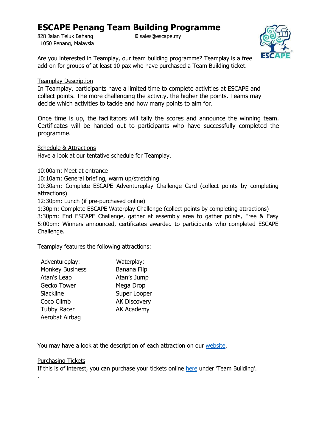# **ESCAPE Penang Team Building Programme**

828 Jalan Teluk Bahang **E** sales@escape.my 11050 Penang, Malaysia



Are you interested in Teamplay, our team building programme? Teamplay is a free add-on for groups of at least 10 pax who have purchased a Team Building ticket.

### Teamplay Description

In Teamplay, participants have a limited time to complete activities at ESCAPE and collect points. The more challenging the activity, the higher the points. Teams may decide which activities to tackle and how many points to aim for.

Once time is up, the facilitators will tally the scores and announce the winning team. Certificates will be handed out to participants who have successfully completed the programme.

Schedule & Attractions

Have a look at our tentative schedule for Teamplay.

10:00am: Meet at entrance

10:10am: General briefing, warm up/stretching

10:30am: Complete ESCAPE Adventureplay Challenge Card (collect points by completing attractions)

12:30pm: Lunch (if pre-purchased online)

1:30pm: Complete ESCAPE Waterplay Challenge (collect points by completing attractions)

3:30pm: End ESCAPE Challenge, gather at assembly area to gather points, Free & Easy 5:00pm: Winners announced, certificates awarded to participants who completed ESCAPE Challenge.

Teamplay features the following attractions:

| Adventureplay:         | Waterplay:          |
|------------------------|---------------------|
| <b>Monkey Business</b> | <b>Banana Flip</b>  |
| Atan's Leap            | Atan's Jump         |
| Gecko Tower            | Mega Drop           |
| Slackline              | Super Looper        |
| Coco Climb             | <b>AK Discovery</b> |
| <b>Tubby Racer</b>     | <b>AK Academy</b>   |
| Aerobat Airbag         |                     |

You may have a look at the description of each attraction on our [website.](http://www.escape.my/activities)

#### Purchasing Tickets

.

If this is of interest, you can purchase your tickets online [here](https://www.ticket2u.com.my/escape-penang) [u](https://www.ticket2u.com.my/escape-penang)nder 'Team Building'.